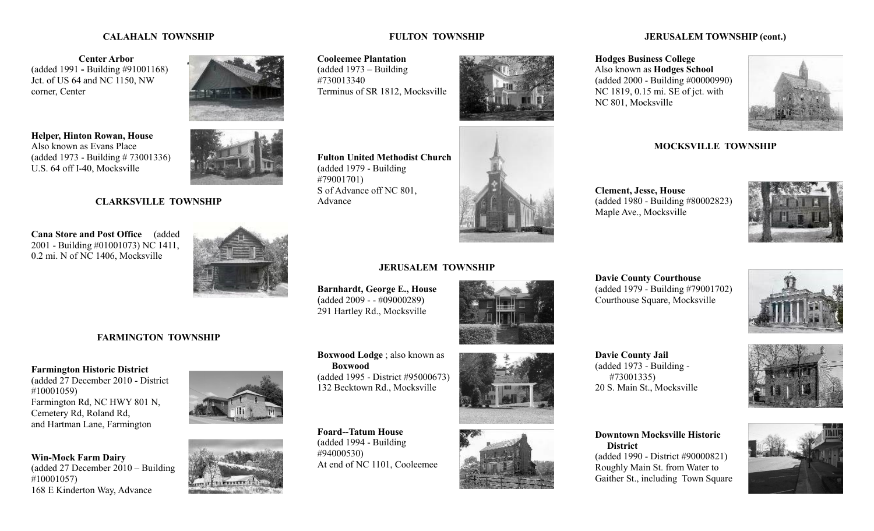# **CALAHALN TOWNSHIP**

**Center Arbor** (added 1991 **-** Building #91001168) Jct. of US 64 and NC 1150, NW corner, Center

**Helper, Hinton Rowan, House** Also known as Evans Place (added 1973 - Building # 73001336) U.S. 64 off I-40, Mocksville



# **CLARKSVILLE TOWNSHIP**

**Cana Store and Post Office** (added 2001 - Building #01001073) NC 1411, 0.2 mi. N of NC 1406, Mocksville



# **FARMINGTON TOWNSHIP**

#### **Farmington Historic District**

(added 27 December 2010 - District #10001059) Farmington Rd, NC HWY 801 N, Cemetery Rd, Roland Rd, and Hartman Lane, Farmington

**Win-Mock Farm Dairy** (added 27 December 2010 – Building #10001057) 168 E Kinderton Way, Advance





# **FULTON TOWNSHIP**

**Cooleemee Plantation** (added 1973 – Building #730013340 Terminus of SR 1812, Mocksville



**Fulton United Methodist Church** (added 1979 - Building #79001701) S of Advance off NC 801, Advance



## **JERUSALEM TOWNSHIP**

**Barnhardt, George E., House**   $(added 2009 - +#09000289)$ 291 Hartley Rd., Mocksville

**Boxwood**

**Foard--Tatum House** (added 1994 - Building

At end of NC 1101, Cooleemee

#94000530)



**Boxwood Lodge** ; also known as (added 1995 - District #95000673) 132 Becktown Rd., Mocksville



Courthouse Square, Mocksville

 **Davie County Courthouse**

 **Davie County Jail** (added 1973 - Building - #73001335) 20 S. Main St., Mocksville

 **Downtown Mocksville Historic District** (added 1990 - District #90000821) Roughly Main St. from Water to Gaither St., including Town Square

# **JERUSALEM TOWNSHIP (cont.)**

 **Hodges Business College** Also known as **Hodges School** (added 2000 - Building #00000990) NC 1819, 0.15 mi. SE of jct. with NC 801, Mocksville



# **MOCKSVILLE TOWNSHIP**

 **Clement, Jesse, House** (added 1980 - Building #80002823) Maple Ave., Mocksville